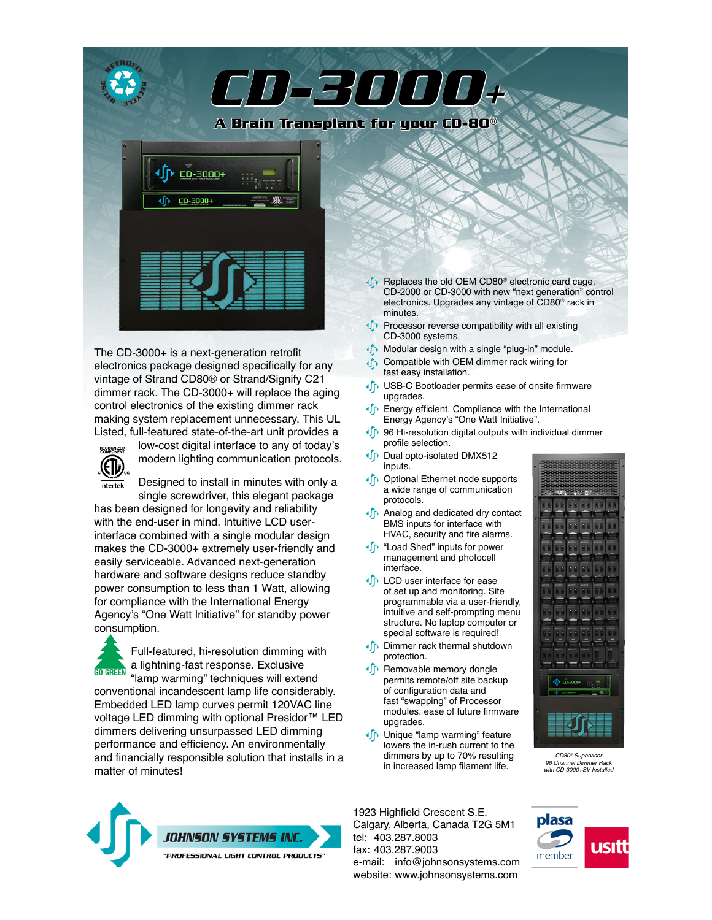

The CD-3000+ is a next-generation retrofit electronics package designed specifically for any vintage of Strand CD80® or Strand/Signify C21 dimmer rack. The CD-3000+ will replace the aging control electronics of the existing dimmer rack making system replacement unnecessary. This UL Listed, full-featured state-of-the-art unit provides a



low-cost digital interface to any of today's modern lighting communication protocols.

Designed to install in minutes with only a single screwdriver, this elegant package

has been designed for longevity and reliability with the end-user in mind. Intuitive LCD userinterface combined with a single modular design makes the CD-3000+ extremely user-friendly and easily serviceable. Advanced next-generation hardware and software designs reduce standby power consumption to less than 1 Watt, allowing for compliance with the International Energy Agency's "One Watt Initiative" for standby power consumption.

Full-featured, hi-resolution dimming with a lightning-fast response. Exclusive **GO GREEN** "lamp warming" techniques will extend conventional incandescent lamp life considerably. Embedded LED lamp curves permit 120VAC line voltage LED dimming with optional Presidor<sup>™</sup> LED dimmers delivering unsurpassed LED dimming performance and efficiency. An environmentally and financially responsible solution that installs in a matter of minutes!

**C** Replaces the old OEM CD80<sup>®</sup> electronic card cage, CD-2000 or CD-3000 with new "next generation" control electronics. Upgrades any vintage of CD80® rack in minutes.

- **Processor reverse compatibility with all existing** CD-3000 systems.
- **ID** Modular design with a single "plug-in" module.
- **In** Compatible with OEM dimmer rack wiring for fast easy installation.
- **ID** USB-C Bootloader permits ease of onsite firmware upgrades.
- **ID** Energy efficient. Compliance with the International Energy Agency's "One Watt Initiative".
- **I** 96 Hi-resolution digital outputs with individual dimmer profile selection.
- Dual opto-isolated DMX512 inputs.
- **In** Optional Ethernet node supports a wide range of communication protocols.
- **In** Analog and dedicated dry contact BMS inputs for interface with HVAC, security and fire alarms.
- **ID** "Load Shed" inputs for power management and photocell interface.
- **ID** LCD user interface for ease of set up and monitoring. Site programmable via a user-friendly, intuitive and self-prompting menu structure. No laptop computer or special software is required!
- **ID** Dimmer rack thermal shutdown protection.
- «In Removable memory dongle permits remote/off site backup of configuration data and fast "swapping" of Processor modules. ease of future firmware upgrades.
- **In** Unique "lamp warming" feature lowers the in-rush current to the dimmers by up to 70% resulting in increased lamp filament life.



*CD80® Supervisor 96 Channel Dimmer Rack with CD-3000+SV Installed* 



1923 Highfield Crescent S.E. Calgary, Alberta, Canada T2G 5M1 tel: 403.287.8003 fax: 403.287.9003 e-mail: [info@johnsonsystems.com](mailto:info@johnsonsystems.com) website: [www.johnsonsystems.com](http://www.johnsonsystems.com)